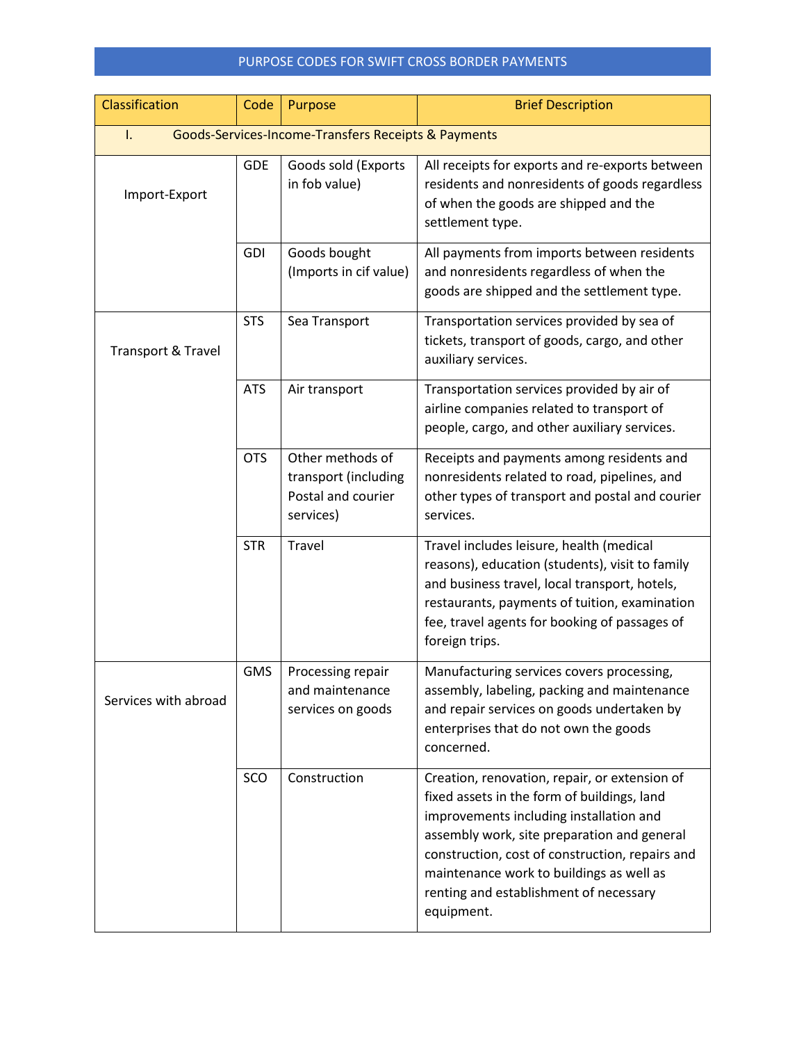| Classification       | Code                                                | Purpose                                                                     | <b>Brief Description</b>                                                                                                                                                                                                                                                                                                                      |  |  |
|----------------------|-----------------------------------------------------|-----------------------------------------------------------------------------|-----------------------------------------------------------------------------------------------------------------------------------------------------------------------------------------------------------------------------------------------------------------------------------------------------------------------------------------------|--|--|
| I.                   | Goods-Services-Income-Transfers Receipts & Payments |                                                                             |                                                                                                                                                                                                                                                                                                                                               |  |  |
| Import-Export        | <b>GDE</b>                                          | Goods sold (Exports<br>in fob value)                                        | All receipts for exports and re-exports between<br>residents and nonresidents of goods regardless<br>of when the goods are shipped and the<br>settlement type.                                                                                                                                                                                |  |  |
|                      | <b>GDI</b>                                          | Goods bought<br>(Imports in cif value)                                      | All payments from imports between residents<br>and nonresidents regardless of when the<br>goods are shipped and the settlement type.                                                                                                                                                                                                          |  |  |
| Transport & Travel   | <b>STS</b>                                          | Sea Transport                                                               | Transportation services provided by sea of<br>tickets, transport of goods, cargo, and other<br>auxiliary services.                                                                                                                                                                                                                            |  |  |
|                      | <b>ATS</b>                                          | Air transport                                                               | Transportation services provided by air of<br>airline companies related to transport of<br>people, cargo, and other auxiliary services.                                                                                                                                                                                                       |  |  |
|                      | <b>OTS</b>                                          | Other methods of<br>transport (including<br>Postal and courier<br>services) | Receipts and payments among residents and<br>nonresidents related to road, pipelines, and<br>other types of transport and postal and courier<br>services.                                                                                                                                                                                     |  |  |
|                      | <b>STR</b>                                          | Travel                                                                      | Travel includes leisure, health (medical<br>reasons), education (students), visit to family<br>and business travel, local transport, hotels,<br>restaurants, payments of tuition, examination<br>fee, travel agents for booking of passages of<br>foreign trips.                                                                              |  |  |
| Services with abroad | <b>GMS</b>                                          | Processing repair<br>and maintenance<br>services on goods                   | Manufacturing services covers processing,<br>assembly, labeling, packing and maintenance<br>and repair services on goods undertaken by<br>enterprises that do not own the goods<br>concerned.                                                                                                                                                 |  |  |
|                      | SCO                                                 | Construction                                                                | Creation, renovation, repair, or extension of<br>fixed assets in the form of buildings, land<br>improvements including installation and<br>assembly work, site preparation and general<br>construction, cost of construction, repairs and<br>maintenance work to buildings as well as<br>renting and establishment of necessary<br>equipment. |  |  |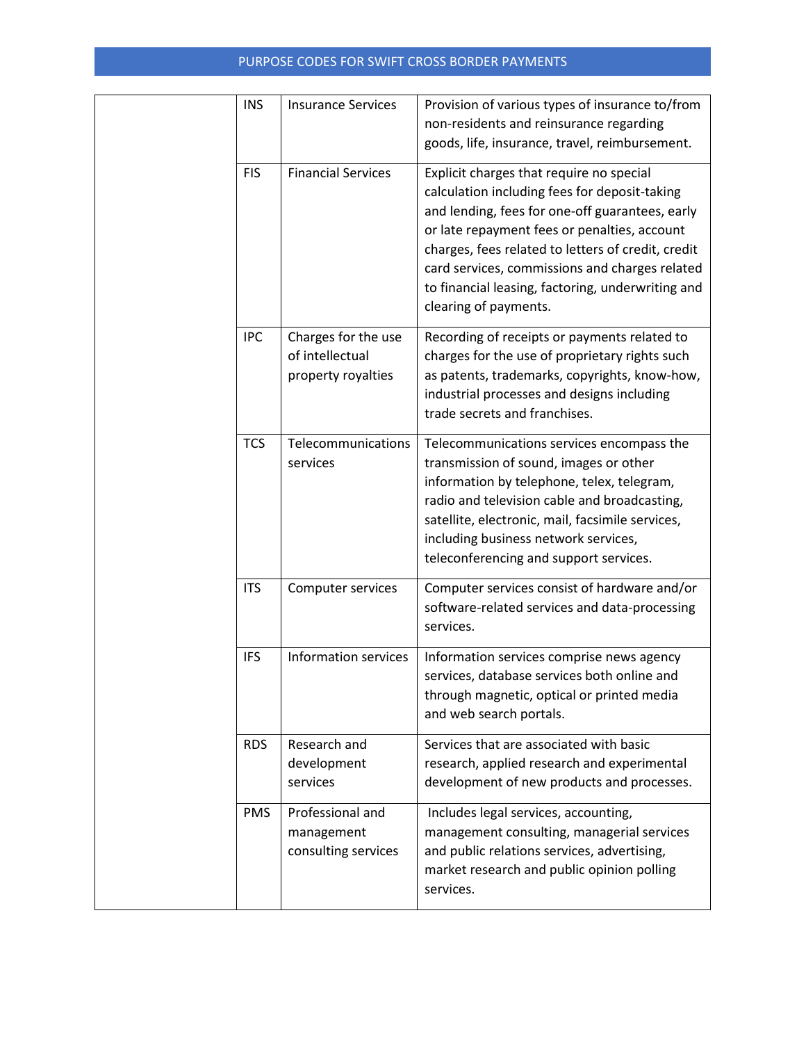| <b>INS</b> | <b>Insurance Services</b>                                    | Provision of various types of insurance to/from<br>non-residents and reinsurance regarding<br>goods, life, insurance, travel, reimbursement.                                                                                                                                                                                                                                       |  |  |
|------------|--------------------------------------------------------------|------------------------------------------------------------------------------------------------------------------------------------------------------------------------------------------------------------------------------------------------------------------------------------------------------------------------------------------------------------------------------------|--|--|
| <b>FIS</b> | <b>Financial Services</b>                                    | Explicit charges that require no special<br>calculation including fees for deposit-taking<br>and lending, fees for one-off guarantees, early<br>or late repayment fees or penalties, account<br>charges, fees related to letters of credit, credit<br>card services, commissions and charges related<br>to financial leasing, factoring, underwriting and<br>clearing of payments. |  |  |
| <b>IPC</b> | Charges for the use<br>of intellectual<br>property royalties | Recording of receipts or payments related to<br>charges for the use of proprietary rights such<br>as patents, trademarks, copyrights, know-how,<br>industrial processes and designs including<br>trade secrets and franchises.                                                                                                                                                     |  |  |
| <b>TCS</b> | Telecommunications<br>services                               | Telecommunications services encompass the<br>transmission of sound, images or other<br>information by telephone, telex, telegram,<br>radio and television cable and broadcasting,<br>satellite, electronic, mail, facsimile services,<br>including business network services,<br>teleconferencing and support services.                                                            |  |  |
| <b>ITS</b> | Computer services                                            | Computer services consist of hardware and/or<br>software-related services and data-processing<br>services.                                                                                                                                                                                                                                                                         |  |  |
| <b>IFS</b> | <b>Information services</b>                                  | Information services comprise news agency<br>services, database services both online and<br>through magnetic, optical or printed media<br>and web search portals.                                                                                                                                                                                                                  |  |  |
| <b>RDS</b> | Research and<br>development<br>services                      | Services that are associated with basic<br>research, applied research and experimental<br>development of new products and processes.                                                                                                                                                                                                                                               |  |  |
| <b>PMS</b> | Professional and<br>management<br>consulting services        | Includes legal services, accounting,<br>management consulting, managerial services<br>and public relations services, advertising,<br>market research and public opinion polling<br>services.                                                                                                                                                                                       |  |  |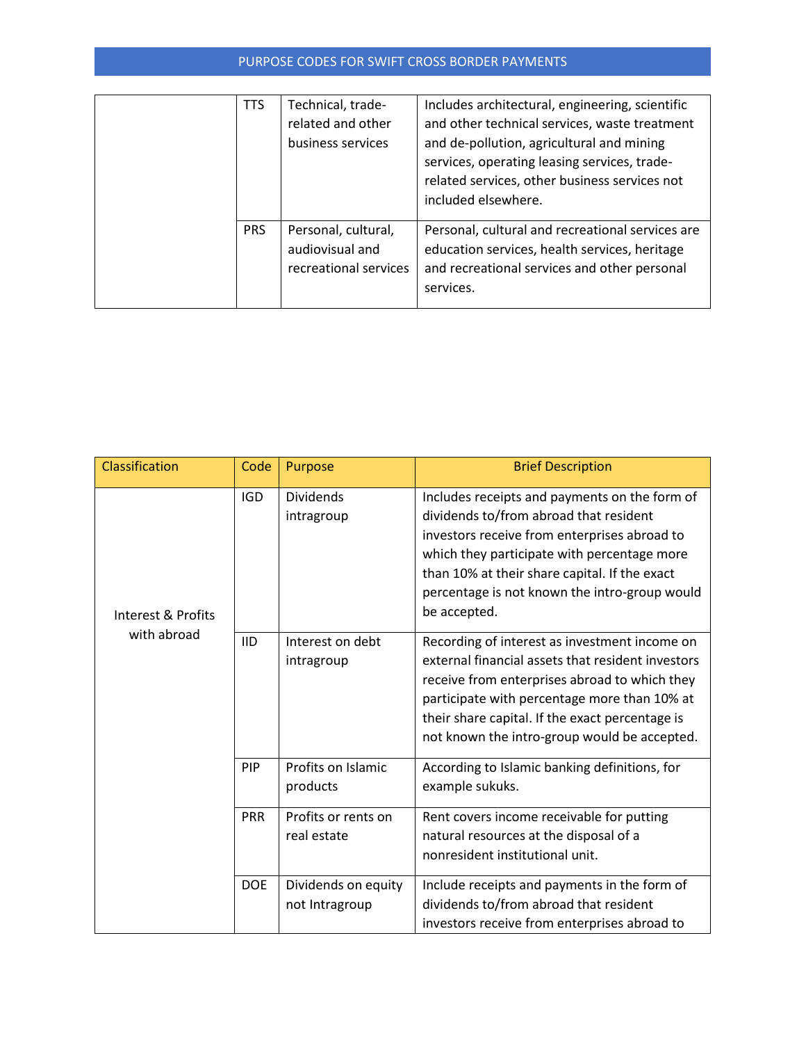| <b>TTS</b> | Technical, trade-<br>related and other<br>business services     | Includes architectural, engineering, scientific<br>and other technical services, waste treatment<br>and de-pollution, agricultural and mining<br>services, operating leasing services, trade-<br>related services, other business services not<br>included elsewhere. |
|------------|-----------------------------------------------------------------|-----------------------------------------------------------------------------------------------------------------------------------------------------------------------------------------------------------------------------------------------------------------------|
| <b>PRS</b> | Personal, cultural,<br>audiovisual and<br>recreational services | Personal, cultural and recreational services are<br>education services, health services, heritage<br>and recreational services and other personal<br>services.                                                                                                        |

| Classification                    | Code       | Purpose                               | <b>Brief Description</b>                                                                                                                                                                                                                                                                                 |
|-----------------------------------|------------|---------------------------------------|----------------------------------------------------------------------------------------------------------------------------------------------------------------------------------------------------------------------------------------------------------------------------------------------------------|
| Interest & Profits<br>with abroad | <b>IGD</b> | <b>Dividends</b><br>intragroup        | Includes receipts and payments on the form of<br>dividends to/from abroad that resident<br>investors receive from enterprises abroad to<br>which they participate with percentage more<br>than 10% at their share capital. If the exact<br>percentage is not known the intro-group would<br>be accepted. |
|                                   | <b>IID</b> | Interest on debt<br>intragroup        | Recording of interest as investment income on<br>external financial assets that resident investors<br>receive from enterprises abroad to which they<br>participate with percentage more than 10% at<br>their share capital. If the exact percentage is<br>not known the intro-group would be accepted.   |
|                                   | PIP        | Profits on Islamic<br>products        | According to Islamic banking definitions, for<br>example sukuks.                                                                                                                                                                                                                                         |
|                                   | <b>PRR</b> | Profits or rents on<br>real estate    | Rent covers income receivable for putting<br>natural resources at the disposal of a<br>nonresident institutional unit.                                                                                                                                                                                   |
|                                   | <b>DOE</b> | Dividends on equity<br>not Intragroup | Include receipts and payments in the form of<br>dividends to/from abroad that resident<br>investors receive from enterprises abroad to                                                                                                                                                                   |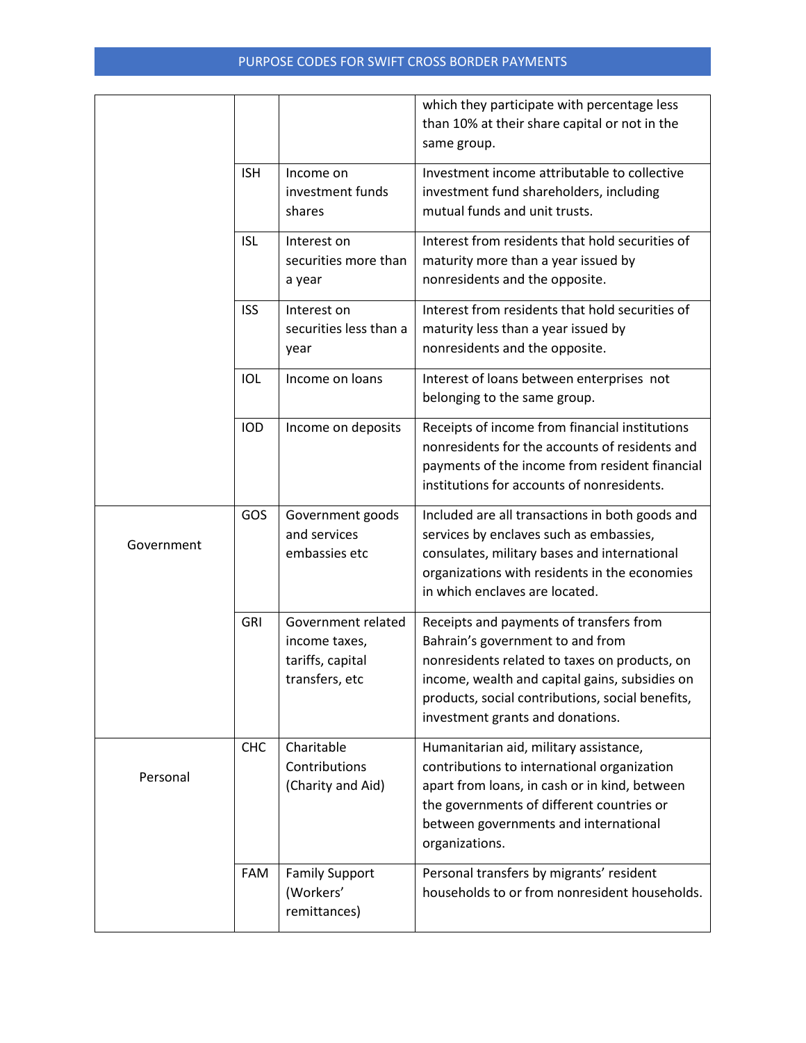|            |            |                                                                           | which they participate with percentage less<br>than 10% at their share capital or not in the<br>same group.                                                                                                                                                            |
|------------|------------|---------------------------------------------------------------------------|------------------------------------------------------------------------------------------------------------------------------------------------------------------------------------------------------------------------------------------------------------------------|
|            | <b>ISH</b> | Income on<br>investment funds<br>shares                                   | Investment income attributable to collective<br>investment fund shareholders, including<br>mutual funds and unit trusts.                                                                                                                                               |
|            | <b>ISL</b> | Interest on<br>securities more than<br>a year                             | Interest from residents that hold securities of<br>maturity more than a year issued by<br>nonresidents and the opposite.                                                                                                                                               |
|            | <b>ISS</b> | Interest on<br>securities less than a<br>year                             | Interest from residents that hold securities of<br>maturity less than a year issued by<br>nonresidents and the opposite.                                                                                                                                               |
|            | IOL        | Income on loans                                                           | Interest of loans between enterprises not<br>belonging to the same group.                                                                                                                                                                                              |
|            | <b>IOD</b> | Income on deposits                                                        | Receipts of income from financial institutions<br>nonresidents for the accounts of residents and<br>payments of the income from resident financial<br>institutions for accounts of nonresidents.                                                                       |
| Government | GOS        | Government goods<br>and services<br>embassies etc                         | Included are all transactions in both goods and<br>services by enclaves such as embassies,<br>consulates, military bases and international<br>organizations with residents in the economies<br>in which enclaves are located.                                          |
|            | <b>GRI</b> | Government related<br>income taxes,<br>tariffs, capital<br>transfers, etc | Receipts and payments of transfers from<br>Bahrain's government to and from<br>nonresidents related to taxes on products, on<br>income, wealth and capital gains, subsidies on<br>products, social contributions, social benefits,<br>investment grants and donations. |
| Personal   | <b>CHC</b> | Charitable<br>Contributions<br>(Charity and Aid)                          | Humanitarian aid, military assistance,<br>contributions to international organization<br>apart from loans, in cash or in kind, between<br>the governments of different countries or<br>between governments and international<br>organizations.                         |
|            | FAM        | <b>Family Support</b><br>(Workers'<br>remittances)                        | Personal transfers by migrants' resident<br>households to or from nonresident households.                                                                                                                                                                              |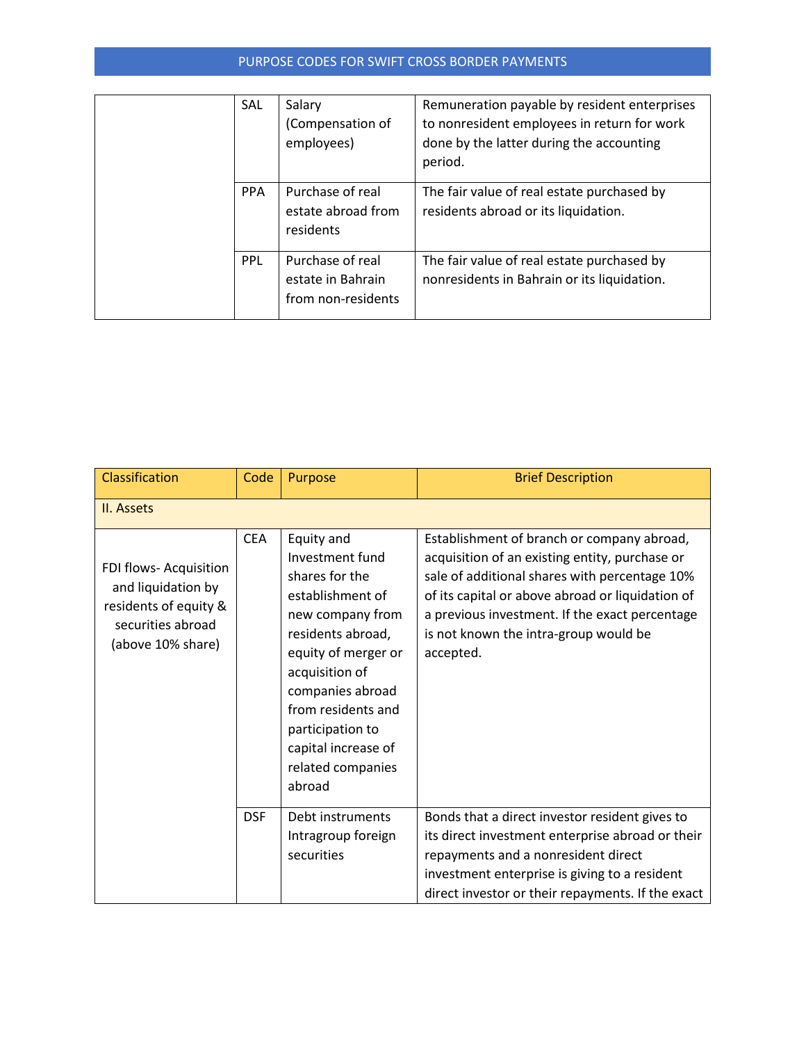|  | SAL        | Salary<br>(Compensation of<br>employees)                    | Remuneration payable by resident enterprises<br>to nonresident employees in return for work<br>done by the latter during the accounting<br>period. |
|--|------------|-------------------------------------------------------------|----------------------------------------------------------------------------------------------------------------------------------------------------|
|  | <b>PPA</b> | Purchase of real<br>estate abroad from<br>residents         | The fair value of real estate purchased by<br>residents abroad or its liquidation.                                                                 |
|  | PPL        | Purchase of real<br>estate in Bahrain<br>from non-residents | The fair value of real estate purchased by<br>nonresidents in Bahrain or its liquidation.                                                          |

| Classification                                                                                                  | Code       | Purpose                                                                                                                                                                                                                                                                   | <b>Brief Description</b>                                                                                                                                                                                                                                                                                  |
|-----------------------------------------------------------------------------------------------------------------|------------|---------------------------------------------------------------------------------------------------------------------------------------------------------------------------------------------------------------------------------------------------------------------------|-----------------------------------------------------------------------------------------------------------------------------------------------------------------------------------------------------------------------------------------------------------------------------------------------------------|
| II. Assets                                                                                                      |            |                                                                                                                                                                                                                                                                           |                                                                                                                                                                                                                                                                                                           |
| FDI flows- Acquisition<br>and liquidation by<br>residents of equity &<br>securities abroad<br>(above 10% share) | <b>CEA</b> | Equity and<br>Investment fund<br>shares for the<br>establishment of<br>new company from<br>residents abroad,<br>equity of merger or<br>acquisition of<br>companies abroad<br>from residents and<br>participation to<br>capital increase of<br>related companies<br>abroad | Establishment of branch or company abroad,<br>acquisition of an existing entity, purchase or<br>sale of additional shares with percentage 10%<br>of its capital or above abroad or liquidation of<br>a previous investment. If the exact percentage<br>is not known the intra-group would be<br>accepted. |
|                                                                                                                 | <b>DSF</b> | Debt instruments<br>Intragroup foreign<br>securities                                                                                                                                                                                                                      | Bonds that a direct investor resident gives to<br>its direct investment enterprise abroad or their<br>repayments and a nonresident direct                                                                                                                                                                 |
|                                                                                                                 |            |                                                                                                                                                                                                                                                                           | investment enterprise is giving to a resident<br>direct investor or their repayments. If the exact                                                                                                                                                                                                        |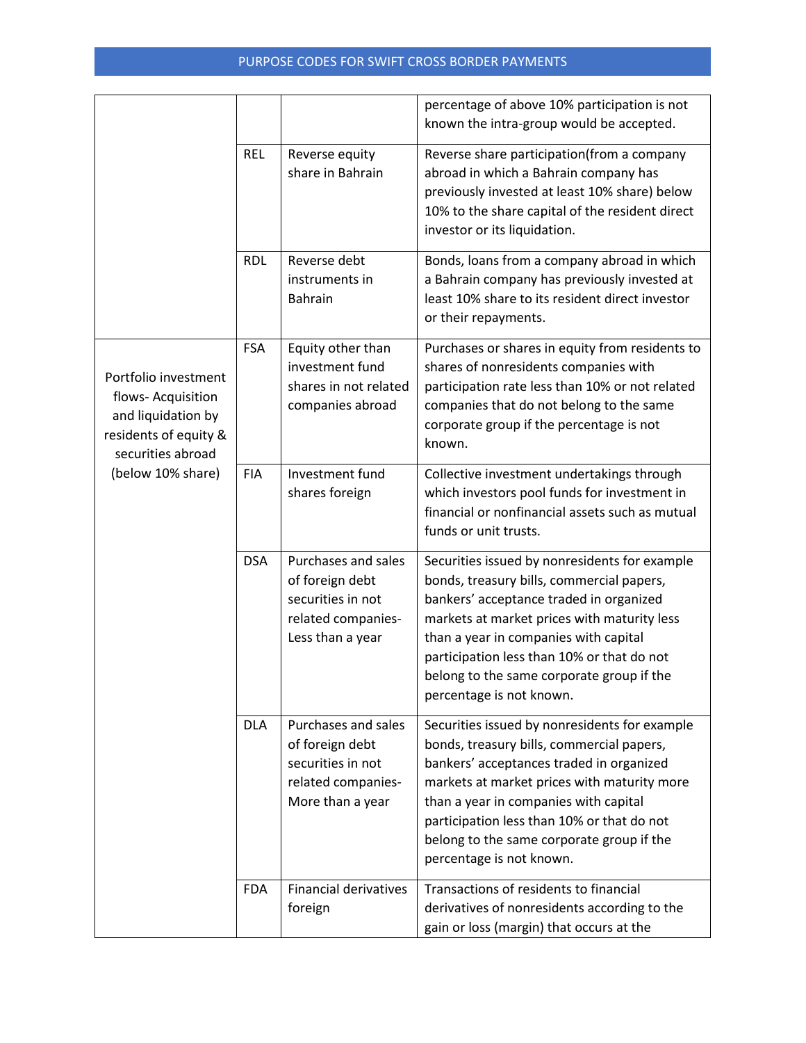|                                                                                                                                     |            |                                                                                                       | percentage of above 10% participation is not<br>known the intra-group would be accepted.                                                                                                                                                                                                                                                              |
|-------------------------------------------------------------------------------------------------------------------------------------|------------|-------------------------------------------------------------------------------------------------------|-------------------------------------------------------------------------------------------------------------------------------------------------------------------------------------------------------------------------------------------------------------------------------------------------------------------------------------------------------|
|                                                                                                                                     | <b>REL</b> | Reverse equity<br>share in Bahrain                                                                    | Reverse share participation(from a company<br>abroad in which a Bahrain company has<br>previously invested at least 10% share) below<br>10% to the share capital of the resident direct<br>investor or its liquidation.                                                                                                                               |
|                                                                                                                                     | <b>RDL</b> | Reverse debt<br>instruments in<br>Bahrain                                                             | Bonds, loans from a company abroad in which<br>a Bahrain company has previously invested at<br>least 10% share to its resident direct investor<br>or their repayments.                                                                                                                                                                                |
| Portfolio investment<br>flows- Acquisition<br>and liquidation by<br>residents of equity &<br>securities abroad<br>(below 10% share) | <b>FSA</b> | Equity other than<br>investment fund<br>shares in not related<br>companies abroad                     | Purchases or shares in equity from residents to<br>shares of nonresidents companies with<br>participation rate less than 10% or not related<br>companies that do not belong to the same<br>corporate group if the percentage is not<br>known.                                                                                                         |
|                                                                                                                                     | <b>FIA</b> | Investment fund<br>shares foreign                                                                     | Collective investment undertakings through<br>which investors pool funds for investment in<br>financial or nonfinancial assets such as mutual<br>funds or unit trusts.                                                                                                                                                                                |
|                                                                                                                                     | <b>DSA</b> | Purchases and sales<br>of foreign debt<br>securities in not<br>related companies-<br>Less than a year | Securities issued by nonresidents for example<br>bonds, treasury bills, commercial papers,<br>bankers' acceptance traded in organized<br>markets at market prices with maturity less<br>than a year in companies with capital<br>participation less than 10% or that do not<br>belong to the same corporate group if the<br>percentage is not known.  |
|                                                                                                                                     | <b>DLA</b> | Purchases and sales<br>of foreign debt<br>securities in not<br>related companies-<br>More than a year | Securities issued by nonresidents for example<br>bonds, treasury bills, commercial papers,<br>bankers' acceptances traded in organized<br>markets at market prices with maturity more<br>than a year in companies with capital<br>participation less than 10% or that do not<br>belong to the same corporate group if the<br>percentage is not known. |
|                                                                                                                                     | <b>FDA</b> | <b>Financial derivatives</b><br>foreign                                                               | Transactions of residents to financial<br>derivatives of nonresidents according to the<br>gain or loss (margin) that occurs at the                                                                                                                                                                                                                    |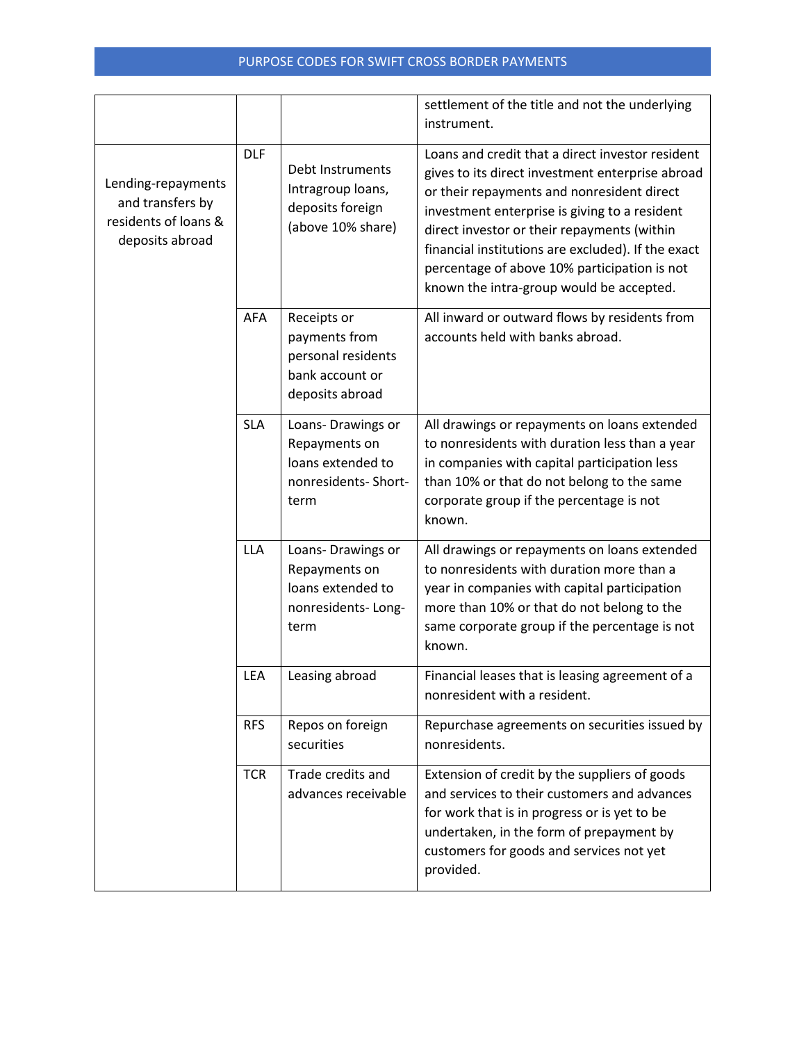|                                                                                   |            |                                                                                          | settlement of the title and not the underlying<br>instrument.                                                                                                                                                                                                                                                                                                                                        |
|-----------------------------------------------------------------------------------|------------|------------------------------------------------------------------------------------------|------------------------------------------------------------------------------------------------------------------------------------------------------------------------------------------------------------------------------------------------------------------------------------------------------------------------------------------------------------------------------------------------------|
| Lending-repayments<br>and transfers by<br>residents of loans &<br>deposits abroad | <b>DLF</b> | Debt Instruments<br>Intragroup loans,<br>deposits foreign<br>(above 10% share)           | Loans and credit that a direct investor resident<br>gives to its direct investment enterprise abroad<br>or their repayments and nonresident direct<br>investment enterprise is giving to a resident<br>direct investor or their repayments (within<br>financial institutions are excluded). If the exact<br>percentage of above 10% participation is not<br>known the intra-group would be accepted. |
|                                                                                   | AFA        | Receipts or<br>payments from<br>personal residents<br>bank account or<br>deposits abroad | All inward or outward flows by residents from<br>accounts held with banks abroad.                                                                                                                                                                                                                                                                                                                    |
|                                                                                   | <b>SLA</b> | Loans-Drawings or<br>Repayments on<br>loans extended to<br>nonresidents-Short-<br>term   | All drawings or repayments on loans extended<br>to nonresidents with duration less than a year<br>in companies with capital participation less<br>than 10% or that do not belong to the same<br>corporate group if the percentage is not<br>known.                                                                                                                                                   |
|                                                                                   | <b>LLA</b> | Loans-Drawings or<br>Repayments on<br>loans extended to<br>nonresidents-Long-<br>term    | All drawings or repayments on loans extended<br>to nonresidents with duration more than a<br>year in companies with capital participation<br>more than 10% or that do not belong to the<br>same corporate group if the percentage is not<br>known.                                                                                                                                                   |
|                                                                                   | LEA        | Leasing abroad                                                                           | Financial leases that is leasing agreement of a<br>nonresident with a resident.                                                                                                                                                                                                                                                                                                                      |
|                                                                                   | <b>RFS</b> | Repos on foreign<br>securities                                                           | Repurchase agreements on securities issued by<br>nonresidents.                                                                                                                                                                                                                                                                                                                                       |
|                                                                                   | <b>TCR</b> | Trade credits and<br>advances receivable                                                 | Extension of credit by the suppliers of goods<br>and services to their customers and advances<br>for work that is in progress or is yet to be<br>undertaken, in the form of prepayment by<br>customers for goods and services not yet<br>provided.                                                                                                                                                   |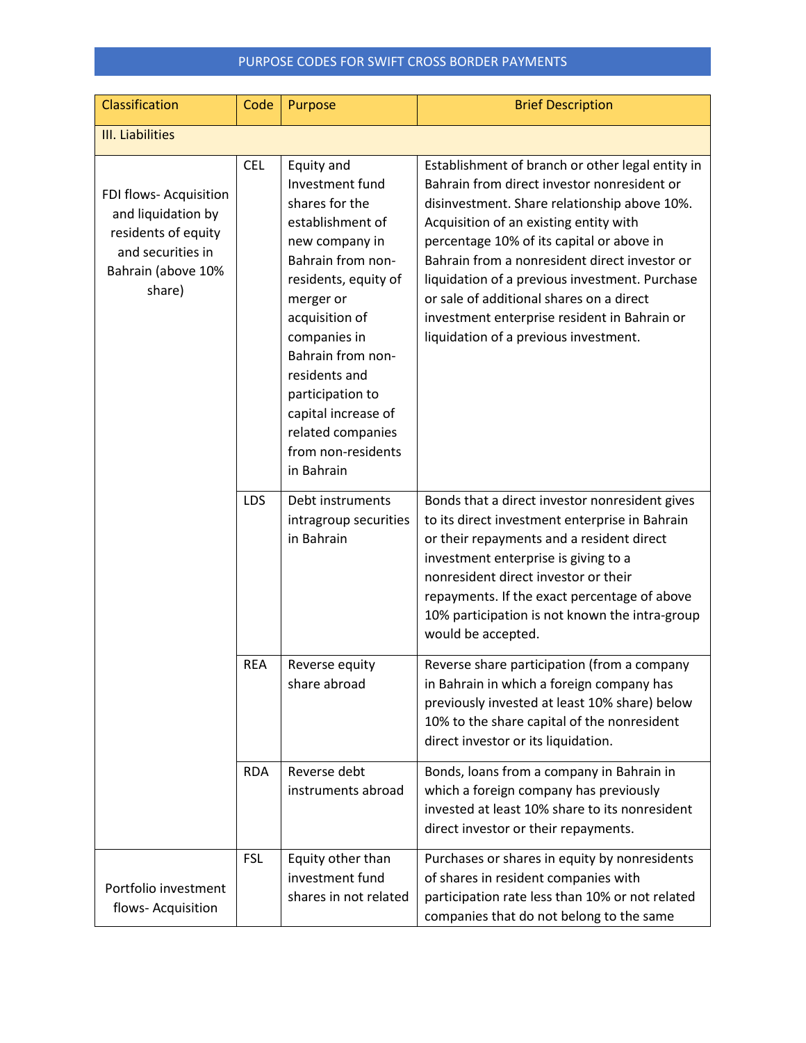| Classification                                                                                                           | Code       | Purpose                                                                                                                                                                                                                                                                                                                     | <b>Brief Description</b>                                                                                                                                                                                                                                                                                                                                                                                                                                                       |  |  |  |
|--------------------------------------------------------------------------------------------------------------------------|------------|-----------------------------------------------------------------------------------------------------------------------------------------------------------------------------------------------------------------------------------------------------------------------------------------------------------------------------|--------------------------------------------------------------------------------------------------------------------------------------------------------------------------------------------------------------------------------------------------------------------------------------------------------------------------------------------------------------------------------------------------------------------------------------------------------------------------------|--|--|--|
| III. Liabilities                                                                                                         |            |                                                                                                                                                                                                                                                                                                                             |                                                                                                                                                                                                                                                                                                                                                                                                                                                                                |  |  |  |
| FDI flows- Acquisition<br>and liquidation by<br>residents of equity<br>and securities in<br>Bahrain (above 10%<br>share) | <b>CEL</b> | Equity and<br>Investment fund<br>shares for the<br>establishment of<br>new company in<br>Bahrain from non-<br>residents, equity of<br>merger or<br>acquisition of<br>companies in<br>Bahrain from non-<br>residents and<br>participation to<br>capital increase of<br>related companies<br>from non-residents<br>in Bahrain | Establishment of branch or other legal entity in<br>Bahrain from direct investor nonresident or<br>disinvestment. Share relationship above 10%.<br>Acquisition of an existing entity with<br>percentage 10% of its capital or above in<br>Bahrain from a nonresident direct investor or<br>liquidation of a previous investment. Purchase<br>or sale of additional shares on a direct<br>investment enterprise resident in Bahrain or<br>liquidation of a previous investment. |  |  |  |
|                                                                                                                          | <b>LDS</b> | Debt instruments<br>intragroup securities<br>in Bahrain                                                                                                                                                                                                                                                                     | Bonds that a direct investor nonresident gives<br>to its direct investment enterprise in Bahrain<br>or their repayments and a resident direct<br>investment enterprise is giving to a<br>nonresident direct investor or their<br>repayments. If the exact percentage of above<br>10% participation is not known the intra-group<br>would be accepted.                                                                                                                          |  |  |  |
|                                                                                                                          | <b>REA</b> | Reverse equity<br>share abroad                                                                                                                                                                                                                                                                                              | Reverse share participation (from a company<br>in Bahrain in which a foreign company has<br>previously invested at least 10% share) below<br>10% to the share capital of the nonresident<br>direct investor or its liquidation.                                                                                                                                                                                                                                                |  |  |  |
|                                                                                                                          | <b>RDA</b> | Reverse debt<br>instruments abroad                                                                                                                                                                                                                                                                                          | Bonds, loans from a company in Bahrain in<br>which a foreign company has previously<br>invested at least 10% share to its nonresident<br>direct investor or their repayments.                                                                                                                                                                                                                                                                                                  |  |  |  |
| Portfolio investment<br>flows- Acquisition                                                                               | <b>FSL</b> | Equity other than<br>investment fund<br>shares in not related                                                                                                                                                                                                                                                               | Purchases or shares in equity by nonresidents<br>of shares in resident companies with<br>participation rate less than 10% or not related<br>companies that do not belong to the same                                                                                                                                                                                                                                                                                           |  |  |  |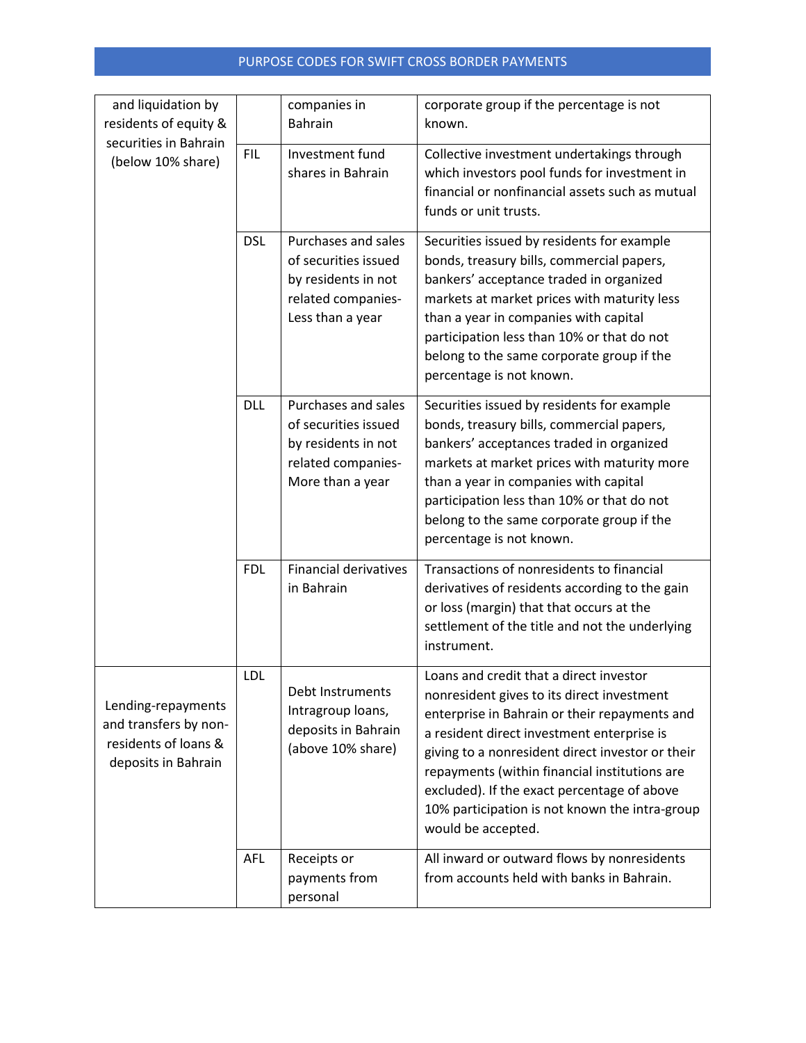| and liquidation by                                                                         |            | companies in                                                                                                 | corporate group if the percentage is not                                                                                                                                                                                                                                                                                                                                                                         |
|--------------------------------------------------------------------------------------------|------------|--------------------------------------------------------------------------------------------------------------|------------------------------------------------------------------------------------------------------------------------------------------------------------------------------------------------------------------------------------------------------------------------------------------------------------------------------------------------------------------------------------------------------------------|
| residents of equity &                                                                      |            | <b>Bahrain</b>                                                                                               | known.                                                                                                                                                                                                                                                                                                                                                                                                           |
| securities in Bahrain<br>(below 10% share)                                                 | <b>FIL</b> | Investment fund<br>shares in Bahrain                                                                         | Collective investment undertakings through<br>which investors pool funds for investment in<br>financial or nonfinancial assets such as mutual<br>funds or unit trusts.                                                                                                                                                                                                                                           |
|                                                                                            | <b>DSL</b> | Purchases and sales<br>of securities issued<br>by residents in not<br>related companies-<br>Less than a year | Securities issued by residents for example<br>bonds, treasury bills, commercial papers,<br>bankers' acceptance traded in organized<br>markets at market prices with maturity less<br>than a year in companies with capital<br>participation less than 10% or that do not<br>belong to the same corporate group if the<br>percentage is not known.                                                                |
|                                                                                            | <b>DLL</b> | Purchases and sales<br>of securities issued<br>by residents in not<br>related companies-<br>More than a year | Securities issued by residents for example<br>bonds, treasury bills, commercial papers,<br>bankers' acceptances traded in organized<br>markets at market prices with maturity more<br>than a year in companies with capital<br>participation less than 10% or that do not<br>belong to the same corporate group if the<br>percentage is not known.                                                               |
|                                                                                            | <b>FDL</b> | <b>Financial derivatives</b><br>in Bahrain                                                                   | Transactions of nonresidents to financial<br>derivatives of residents according to the gain<br>or loss (margin) that that occurs at the<br>settlement of the title and not the underlying<br>instrument.                                                                                                                                                                                                         |
| Lending-repayments<br>and transfers by non-<br>residents of loans &<br>deposits in Bahrain | <b>LDL</b> | Debt Instruments<br>Intragroup loans,<br>deposits in Bahrain<br>(above 10% share)                            | Loans and credit that a direct investor<br>nonresident gives to its direct investment<br>enterprise in Bahrain or their repayments and<br>a resident direct investment enterprise is<br>giving to a nonresident direct investor or their<br>repayments (within financial institutions are<br>excluded). If the exact percentage of above<br>10% participation is not known the intra-group<br>would be accepted. |
|                                                                                            | AFL        | Receipts or<br>payments from<br>personal                                                                     | All inward or outward flows by nonresidents<br>from accounts held with banks in Bahrain.                                                                                                                                                                                                                                                                                                                         |